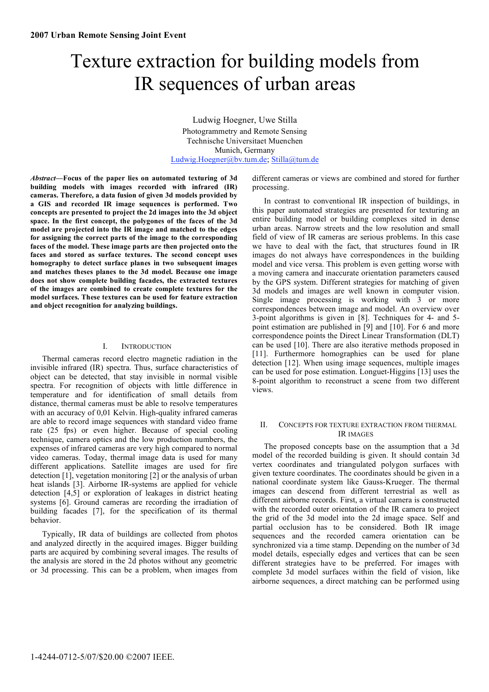# Texture extraction for building models from IR sequences of urban areas

Ludwig Hoegner, Uwe Stilla Photogrammetry and Remote Sensing Technische Universitaet Muenchen Munich, Germany Ludwig.Hoegner@bv.tum.de; Stilla@tum.de

*Abstract***—Focus of the paper lies on automated texturing of 3d building models with images recorded with infrared (IR) cameras. Therefore, a data fusion of given 3d models provided by a GIS and recorded IR image sequences is performed. Two concepts are presented to project the 2d images into the 3d object space. In the first concept, the polygones of the faces of the 3d model are projected into the IR image and matched to the edges for assigning the correct parts of the image to the corresponding faces of the model. These image parts are then projected onto the faces and stored as surface textures. The second concept uses homography to detect surface planes in two subsequent images and matches theses planes to the 3d model. Because one image does not show complete building facades, the extracted textures of the images are combined to create complete textures for the model surfaces. These textures can be used for feature extraction and object recognition for analyzing buildings.** 

## I. INTRODUCTION

Thermal cameras record electro magnetic radiation in the invisible infrared (IR) spectra. Thus, surface characteristics of object can be detected, that stay invisible in normal visible spectra. For recognition of objects with little difference in temperature and for identification of small details from distance, thermal cameras must be able to resolve temperatures with an accuracy of 0,01 Kelvin. High-quality infrared cameras are able to record image sequences with standard video frame rate (25 fps) or even higher. Because of special cooling technique, camera optics and the low production numbers, the expenses of infrared cameras are very high compared to normal video cameras. Today, thermal image data is used for many different applications. Satellite images are used for fire detection [1], vegetation monitoring  $[2]$  or the analysis of urban heat islands [3]. Airborne IR-systems are applied for vehicle detection [4,5] or exploration of leakages in district heating systems [6]. Ground cameras are recording the irradiation of building facades [7], for the specification of its thermal behavior.

Typically, IR data of buildings are collected from photos and analyzed directly in the acquired images. Bigger building parts are acquired by combining several images. The results of the analysis are stored in the 2d photos without any geometric or 3d processing. This can be a problem, when images from

different cameras or views are combined and stored for further processing.

In contrast to conventional IR inspection of buildings, in this paper automated strategies are presented for texturing an entire building model or building complexes sited in dense urban areas. Narrow streets and the low resolution and small field of view of IR cameras are serious problems. In this case we have to deal with the fact, that structures found in IR images do not always have correspondences in the building model and vice versa. This problem is even getting worse with a moving camera and inaccurate orientation parameters caused by the GPS system. Different strategies for matching of given 3d models and images are well known in computer vision. Single image processing is working with 3 or more correspondences between image and model. An overview over 3-point algorithms is given in [8]. Techniques for 4- and 5 point estimation are published in [9] and [10]. For 6 and more correspondence points the Direct Linear Transformation (DLT) can be used [10]. There are also iterative methods proposed in [11]. Furthermore homographies can be used for plane detection [12]. When using image sequences, multiple images can be used for pose estimation. Longuet-Higgins [13] uses the 8-point algorithm to reconstruct a scene from two different views.

## II. CONCEPTS FOR TEXTURE EXTRACTION FROM THERMAL IR IMAGES

The proposed concepts base on the assumption that a 3d model of the recorded building is given. It should contain 3d vertex coordinates and triangulated polygon surfaces with given texture coordinates. The coordinates should be given in a national coordinate system like Gauss-Krueger. The thermal images can descend from different terrestrial as well as different airborne records. First, a virtual camera is constructed with the recorded outer orientation of the IR camera to project the grid of the 3d model into the 2d image space. Self and partial occlusion has to be considered. Both IR image sequences and the recorded camera orientation can be synchronized via a time stamp. Depending on the number of 3d model details, especially edges and vertices that can be seen different strategies have to be preferred. For images with complete 3d model surfaces within the field of vision, like airborne sequences, a direct matching can be performed using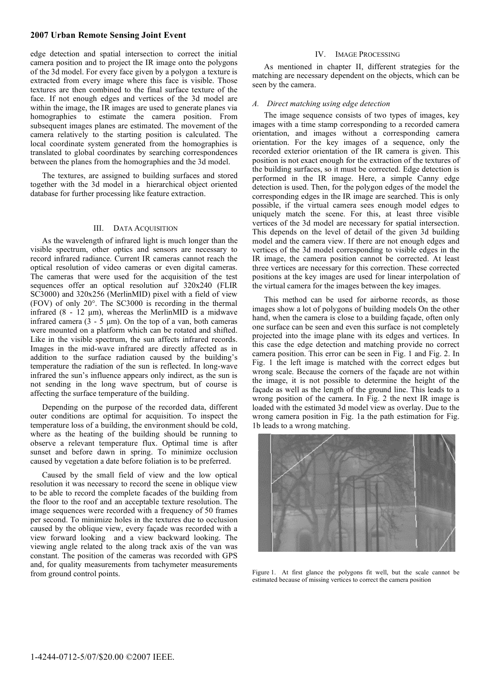# **2007 Urban Remote Sensing Joint Event**

edge detection and spatial intersection to correct the initial camera position and to project the IR image onto the polygons of the 3d model. For every face given by a polygon a texture is extracted from every image where this face is visible. Those textures are then combined to the final surface texture of the face. If not enough edges and vertices of the 3d model are within the image, the IR images are used to generate planes via homographies to estimate the camera position. From subsequent images planes are estimated. The movement of the camera relatively to the starting position is calculated. The local coordinate system generated from the homographies is translated to global coordinates by searching correspondences between the planes from the homographies and the 3d model.

The textures, are assigned to building surfaces and stored together with the 3d model in a hierarchical object oriented database for further processing like feature extraction.

## III. DATA ACQUISITION

As the wavelength of infrared light is much longer than the visible spectrum, other optics and sensors are necessary to record infrared radiance. Current IR cameras cannot reach the optical resolution of video cameras or even digital cameras. The cameras that were used for the acquisition of the test sequences offer an optical resolution auf 320x240 (FLIR SC3000) and 320x256 (MerlinMID) pixel with a field of view (FOV) of only 20°. The SC3000 is recording in the thermal infrared  $(8 - 12 \mu m)$ , whereas the MerlinMID is a midwave infrared camera  $(3 - 5 \mu m)$ . On the top of a van, both cameras were mounted on a platform which can be rotated and shifted. Like in the visible spectrum, the sun affects infrared records. Images in the mid-wave infrared are directly affected as in addition to the surface radiation caused by the building's temperature the radiation of the sun is reflected. In long-wave infrared the sun's influence appears only indirect, as the sun is not sending in the long wave spectrum, but of course is affecting the surface temperature of the building.

Depending on the purpose of the recorded data, different outer conditions are optimal for acquisition. To inspect the temperature loss of a building, the environment should be cold, where as the heating of the building should be running to observe a relevant temperature flux. Optimal time is after sunset and before dawn in spring. To minimize occlusion caused by vegetation a date before foliation is to be preferred.

Caused by the small field of view and the low optical resolution it was necessary to record the scene in oblique view to be able to record the complete facades of the building from the floor to the roof and an acceptable texture resolution. The image sequences were recorded with a frequency of 50 frames per second. To minimize holes in the textures due to occlusion caused by the oblique view, every façade was recorded with a view forward looking and a view backward looking. The viewing angle related to the along track axis of the van was constant. The position of the cameras was recorded with GPS and, for quality measurements from tachymeter measurements from ground control points.

## IV. IMAGE PROCESSING

As mentioned in chapter II, different strategies for the matching are necessary dependent on the objects, which can be seen by the camera.

## *A. Direct matching using edge detection*

The image sequence consists of two types of images, key images with a time stamp corresponding to a recorded camera orientation, and images without a corresponding camera orientation. For the key images of a sequence, only the recorded exterior orientation of the IR camera is given. This position is not exact enough for the extraction of the textures of the building surfaces, so it must be corrected. Edge detection is performed in the IR image. Here, a simple Canny edge detection is used. Then, for the polygon edges of the model the corresponding edges in the IR image are searched. This is only possible, if the virtual camera sees enough model edges to uniquely match the scene. For this, at least three visible vertices of the 3d model are necessary for spatial intersection. This depends on the level of detail of the given 3d building model and the camera view. If there are not enough edges and vertices of the 3d model corresponding to visible edges in the IR image, the camera position cannot be corrected. At least three vertices are necessary for this correction. These corrected positions at the key images are used for linear interpolation of the virtual camera for the images between the key images.

This method can be used for airborne records, as those images show a lot of polygons of building models On the other hand, when the camera is close to a building façade, often only one surface can be seen and even this surface is not completely projected into the image plane with its edges and vertices. In this case the edge detection and matching provide no correct camera position. This error can be seen in Fig. 1 and Fig. 2. In Fig. 1 the left image is matched with the correct edges but wrong scale. Because the corners of the façade are not within the image, it is not possible to determine the height of the façade as well as the length of the ground line. This leads to a wrong position of the camera. In Fig. 2 the next IR image is loaded with the estimated 3d model view as overlay. Due to the wrong camera position in Fig. 1a the path estimation for Fig. 1b leads to a wrong matching.



Figure 1. At first glance the polygons fit well, but the scale cannot be estimated because of missing vertices to correct the camera position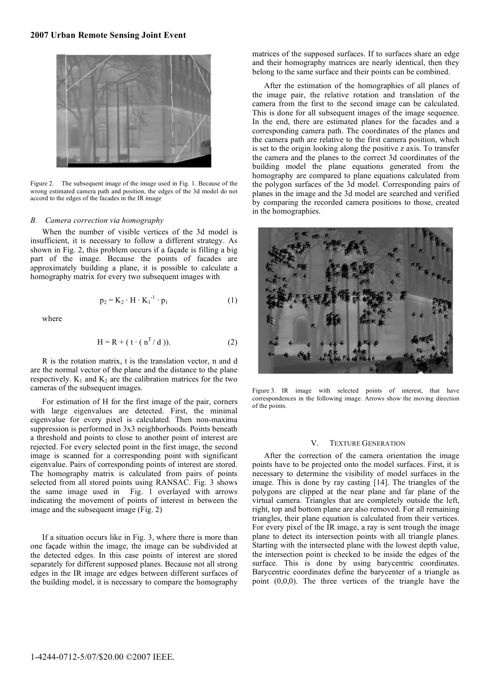

Figure 2. The subsequent image of the image used in Fig. 1. Because of the wrong estimated camera path and position, the edges of the 3d model do not accord to the edges of the facades in the IR image

## *B. Camera correction via homography*

When the number of visible vertices of the 3d model is insufficient, it is necessary to follow a different strategy. As shown in Fig. 2, this problem occurs if a façade is filling a big part of the image. Because the points of facades are approximately building a plane, it is possible to calculate a homography matrix for every two subsequent images with

$$
\mathbf{p}_2 = \mathbf{K}_2 \cdot \mathbf{H} \cdot \mathbf{K}_1^{-1} \cdot \mathbf{p}_1 \tag{1}
$$

where

$$
H = R + (t \cdot (n^T / d)). \tag{2}
$$

R is the rotation matrix, t is the translation vector, n and d are the normal vector of the plane and the distance to the plane respectively.  $K_1$  and  $K_2$  are the calibration matrices for the two cameras of the subsequent images.

For estimation of H for the first image of the pair, corners with large eigenvalues are detected. First, the minimal eigenvalue for every pixel is calculated. Then non-maxima suppression is performed in 3x3 neighborhoods. Points beneath a threshold and points to close to another point of interest are rejected. For every selected point in the first image, the second image is scanned for a corresponding point with significant eigenvalue. Pairs of corresponding points of interest are stored. The homography matrix is calculated from pairs of points selected from all stored points using RANSAC. Fig. 3 shows the same image used in Fig. 1 overlayed with arrows indicating the movement of points of interest in between the image and the subsequent image (Fig. 2)

If a situation occurs like in Fig. 3, where there is more than one façade within the image, the image can be subdivided at the detected edges. In this case points of interest are stored separately for different supposed planes. Because not all strong edges in the IR image are edges between different surfaces of the building model, it is necessary to compare the homography

matrices of the supposed surfaces. If to surfaces share an edge and their homography matrices are nearly identical, then they belong to the same surface and their points can be combined.

After the estimation of the homographies of all planes of the image pair, the relative rotation and translation of the camera from the first to the second image can be calculated. This is done for all subsequent images of the image sequence. In the end, there are estimated planes for the facades and a corresponding camera path. The coordinates of the planes and the camera path are relative to the first camera position, which is set to the origin looking along the positive z axis. To transfer the camera and the planes to the correct 3d coordinates of the building model the plane equations generated from the homography are compared to plane equations calculated from the polygon surfaces of the 3d model. Corresponding pairs of planes in the image and the 3d model are searched and verified by comparing the recorded camera positions to those, created in the homographies.



Figure 3. IR image with selected points of interest, that have correspondences in the following image. Arrows show the moving direction of the points.

#### V. TEXTURE GENERATION

After the correction of the camera orientation the image points have to be projected onto the model surfaces. First, it is necessary to determine the visibility of model surfaces in the image. This is done by ray casting [14]. The triangles of the polygons are clipped at the near plane and far plane of the virtual camera. Triangles that are completely outside the left, right, top and bottom plane are also removed. For all remaining triangles, their plane equation is calculated from their vertices. For every pixel of the IR image, a ray is sent trough the image plane to detect its intersection points with all triangle planes. Starting with the intersected plane with the lowest depth value, the intersection point is checked to be inside the edges of the surface. This is done by using barycentric coordinates. Barycentric coordinates define the barycenter of a triangle as point (0,0,0). The three vertices of the triangle have the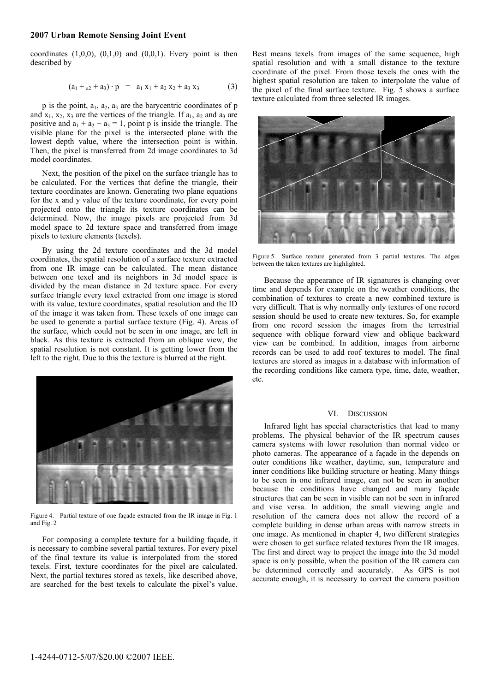# **2007 Urban Remote Sensing Joint Event**

coordinates  $(1,0,0)$ ,  $(0,1,0)$  and  $(0,0,1)$ . Every point is then described by

$$
(a_1 +_{a2} + a_3) \cdot p = a_1 x_1 + a_2 x_2 + a_3 x_3 \tag{3}
$$

 $p$  is the point,  $a_1$ ,  $a_2$ ,  $a_3$  are the barycentric coordinates of  $p$ and  $x_1, x_2, x_3$  are the vertices of the triangle. If  $a_1, a_2$  and  $a_3$  are positive and  $a_1 + a_2 + a_3 = 1$ , point p is inside the triangle. The visible plane for the pixel is the intersected plane with the lowest depth value, where the intersection point is within. Then, the pixel is transferred from 2d image coordinates to 3d model coordinates.

Next, the position of the pixel on the surface triangle has to be calculated. For the vertices that define the triangle, their texture coordinates are known. Generating two plane equations for the x and y value of the texture coordinate, for every point projected onto the triangle its texture coordinates can be determined. Now, the image pixels are projected from 3d model space to 2d texture space and transferred from image pixels to texture elements (texels).

By using the 2d texture coordinates and the 3d model coordinates, the spatial resolution of a surface texture extracted from one IR image can be calculated. The mean distance between one texel and its neighbors in 3d model space is divided by the mean distance in 2d texture space. For every surface triangle every texel extracted from one image is stored with its value, texture coordinates, spatial resolution and the ID of the image it was taken from. These texels of one image can be used to generate a partial surface texture (Fig. 4). Areas of the surface, which could not be seen in one image, are left in black. As this texture is extracted from an oblique view, the spatial resolution is not constant. It is getting lower from the left to the right. Due to this the texture is blurred at the right.



Figure 4. Partial texture of one façade extracted from the IR image in Fig. 1 and Fig. 2

For composing a complete texture for a building façade, it is necessary to combine several partial textures. For every pixel of the final texture its value is interpolated from the stored texels. First, texture coordinates for the pixel are calculated. Next, the partial textures stored as texels, like described above, are searched for the best texels to calculate the pixel's value.

Best means texels from images of the same sequence, high spatial resolution and with a small distance to the texture coordinate of the pixel. From those texels the ones with the highest spatial resolution are taken to interpolate the value of the pixel of the final surface texture. Fig. 5 shows a surface texture calculated from three selected IR images.



Figure 5. Surface texture generated from 3 partial textures. The edges between the taken textures are highlighted.

Because the appearance of IR signatures is changing over time and depends for example on the weather conditions, the combination of textures to create a new combined texture is very difficult. That is why normally only textures of one record session should be used to create new textures. So, for example from one record session the images from the terrestrial sequence with oblique forward view and oblique backward view can be combined. In addition, images from airborne records can be used to add roof textures to model. The final textures are stored as images in a database with information of the recording conditions like camera type, time, date, weather, etc.

## VI. DISCUSSION

Infrared light has special characteristics that lead to many problems. The physical behavior of the IR spectrum causes camera systems with lower resolution than normal video or photo cameras. The appearance of a façade in the depends on outer conditions like weather, daytime, sun, temperature and inner conditions like building structure or heating. Many things to be seen in one infrared image, can not be seen in another because the conditions have changed and many façade structures that can be seen in visible can not be seen in infrared and vise versa. In addition, the small viewing angle and resolution of the camera does not allow the record of a complete building in dense urban areas with narrow streets in one image. As mentioned in chapter 4, two different strategies were chosen to get surface related textures from the IR images. The first and direct way to project the image into the 3d model space is only possible, when the position of the IR camera can be determined correctly and accurately. As GPS is not accurate enough, it is necessary to correct the camera position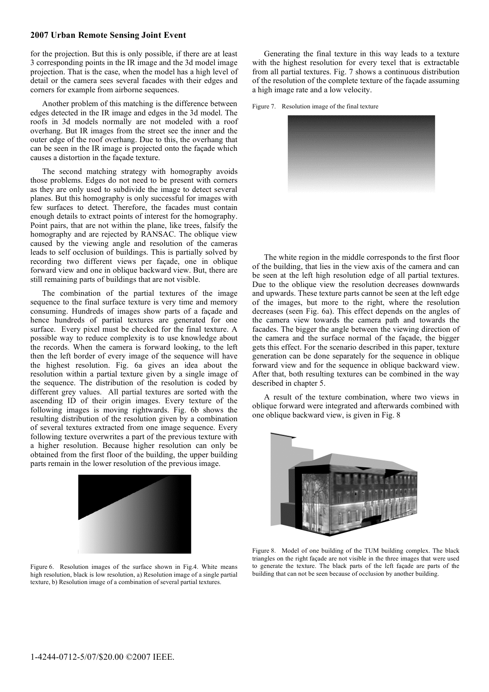## **2007 Urban Remote Sensing Joint Event**

for the projection. But this is only possible, if there are at least 3 corresponding points in the IR image and the 3d model image projection. That is the case, when the model has a high level of detail or the camera sees several facades with their edges and corners for example from airborne sequences.

Another problem of this matching is the difference between edges detected in the IR image and edges in the 3d model. The roofs in 3d models normally are not modeled with a roof overhang. But IR images from the street see the inner and the outer edge of the roof overhang. Due to this, the overhang that can be seen in the IR image is projected onto the façade which causes a distortion in the façade texture.

The second matching strategy with homography avoids those problems. Edges do not need to be present with corners as they are only used to subdivide the image to detect several planes. But this homography is only successful for images with few surfaces to detect. Therefore, the facades must contain enough details to extract points of interest for the homography. Point pairs, that are not within the plane, like trees, falsify the homography and are rejected by RANSAC. The oblique view caused by the viewing angle and resolution of the cameras leads to self occlusion of buildings. This is partially solved by recording two different views per façade, one in oblique forward view and one in oblique backward view. But, there are still remaining parts of buildings that are not visible.

The combination of the partial textures of the image sequence to the final surface texture is very time and memory consuming. Hundreds of images show parts of a façade and hence hundreds of partial textures are generated for one surface. Every pixel must be checked for the final texture. A possible way to reduce complexity is to use knowledge about the records. When the camera is forward looking, to the left then the left border of every image of the sequence will have the highest resolution. Fig. 6a gives an idea about the resolution within a partial texture given by a single image of the sequence. The distribution of the resolution is coded by different grey values. All partial textures are sorted with the ascending ID of their origin images. Every texture of the following images is moving rightwards. Fig. 6b shows the resulting distribution of the resolution given by a combination of several textures extracted from one image sequence. Every following texture overwrites a part of the previous texture with a higher resolution. Because higher resolution can only be obtained from the first floor of the building, the upper building parts remain in the lower resolution of the previous image.



Figure 6. Resolution images of the surface shown in Fig.4. White means high resolution, black is low resolution, a) Resolution image of a single partial texture, b) Resolution image of a combination of several partial textures.

Generating the final texture in this way leads to a texture with the highest resolution for every texel that is extractable from all partial textures. Fig. 7 shows a continuous distribution of the resolution of the complete texture of the façade assuming a high image rate and a low velocity.

Figure 7. Resolution image of the final texture



The white region in the middle corresponds to the first floor of the building, that lies in the view axis of the camera and can be seen at the left high resolution edge of all partial textures. Due to the oblique view the resolution decreases downwards and upwards. These texture parts cannot be seen at the left edge of the images, but more to the right, where the resolution decreases (seen Fig. 6a). This effect depends on the angles of the camera view towards the camera path and towards the facades. The bigger the angle between the viewing direction of the camera and the surface normal of the façade, the bigger gets this effect. For the scenario described in this paper, texture generation can be done separately for the sequence in oblique forward view and for the sequence in oblique backward view. After that, both resulting textures can be combined in the way described in chapter 5.

A result of the texture combination, where two views in oblique forward were integrated and afterwards combined with one oblique backward view, is given in Fig. 8



Figure 8. Model of one building of the TUM building complex. The black triangles on the right façade are not visible in the three images that were used to generate the texture. The black parts of the left façade are parts of the building that can not be seen because of occlusion by another building.